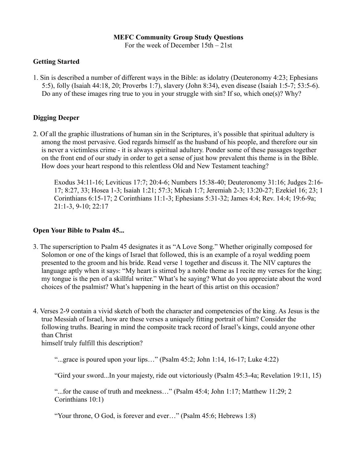### **MEFC Community Group Study Questions**

For the week of December 15th – 21st

## **Getting Started**

1. Sin is described a number of different ways in the Bible: as idolatry (Deuteronomy 4:23; Ephesians 5:5), folly (Isaiah 44:18, 20; Proverbs 1:7), slavery (John 8:34), even disease (Isaiah 1:5-7; 53:5-6). Do any of these images ring true to you in your struggle with sin? If so, which one(s)? Why?

# **Digging Deeper**

2. Of all the graphic illustrations of human sin in the Scriptures, it's possible that spiritual adultery is among the most pervasive. God regards himself as the husband of his people, and therefore our sin is never a victimless crime - it is always spiritual adultery. Ponder some of these passages together on the front end of our study in order to get a sense of just how prevalent this theme is in the Bible. How does your heart respond to this relentless Old and New Testament teaching?

Exodus 34:11-16; Leviticus 17:7; 20:4-6; Numbers 15:38-40; Deuteronomy 31:16; Judges 2:16- 17; 8:27, 33; Hosea 1-3; Isaiah 1:21; 57:3; Micah 1:7; Jeremiah 2-3; 13:20-27; Ezekiel 16; 23; 1 Corinthians 6:15-17; 2 Corinthians 11:1-3; Ephesians 5:31-32; James 4:4; Rev. 14:4; 19:6-9a; 21:1-3, 9-10; 22:17

### **Open Your Bible to Psalm 45...**

- 3. The superscription to Psalm 45 designates it as "A Love Song." Whether originally composed for Solomon or one of the kings of Israel that followed, this is an example of a royal wedding poem presented to the groom and his bride. Read verse 1 together and discuss it. The NIV captures the language aptly when it says: "My heart is stirred by a noble theme as I recite my verses for the king; my tongue is the pen of a skillful writer." What's he saying? What do you appreciate about the word choices of the psalmist? What's happening in the heart of this artist on this occasion?
- 4. Verses 2-9 contain a vivid sketch of both the character and competencies of the king. As Jesus is the true Messiah of Israel, how are these verses a uniquely fitting portrait of him? Consider the following truths. Bearing in mind the composite track record of Israel's kings, could anyone other than Christ

himself truly fulfill this description?

"...grace is poured upon your lips..." (Psalm  $45:2$ ; John  $1:14$ ,  $16-17$ ; Luke  $4:22$ )

"Gird your sword...In your majesty, ride out victoriously (Psalm 45:3-4a; Revelation 19:11, 15)

"...for the cause of truth and meekness…" (Psalm 45:4; John 1:17; Matthew 11:29; 2 Corinthians 10:1)

"Your throne, O God, is forever and ever…" (Psalm 45:6; Hebrews 1:8)